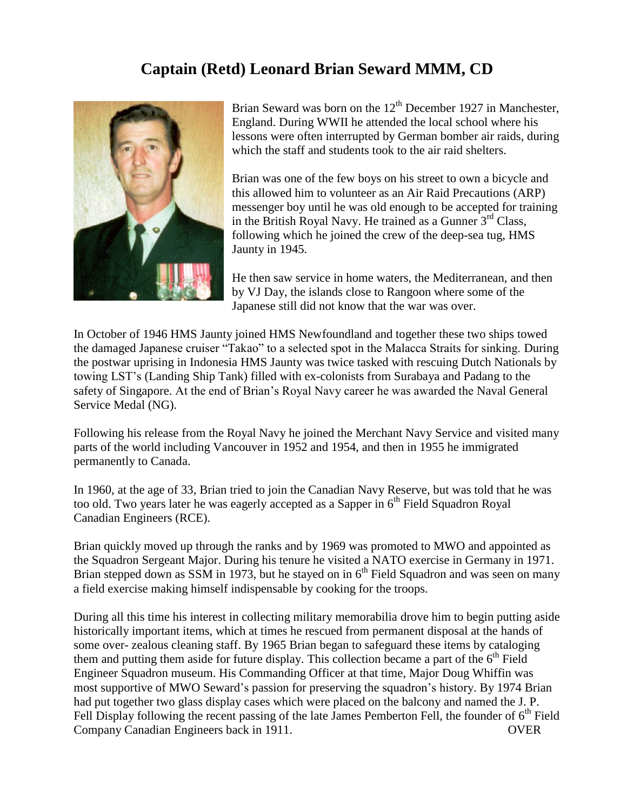## **Captain (Retd) Leonard Brian Seward MMM, CD**



Brian Seward was born on the  $12<sup>th</sup>$  December 1927 in Manchester, England. During WWII he attended the local school where his lessons were often interrupted by German bomber air raids, during which the staff and students took to the air raid shelters.

Brian was one of the few boys on his street to own a bicycle and this allowed him to volunteer as an Air Raid Precautions (ARP) messenger boy until he was old enough to be accepted for training in the British Royal Navy. He trained as a Gunner  $3<sup>rd</sup>$  Class, following which he joined the crew of the deep-sea tug, HMS Jaunty in 1945.

He then saw service in home waters, the Mediterranean, and then by VJ Day, the islands close to Rangoon where some of the Japanese still did not know that the war was over.

In October of 1946 HMS Jaunty joined HMS Newfoundland and together these two ships towed the damaged Japanese cruiser "Takao" to a selected spot in the Malacca Straits for sinking. During the postwar uprising in Indonesia HMS Jaunty was twice tasked with rescuing Dutch Nationals by towing LST's (Landing Ship Tank) filled with ex-colonists from Surabaya and Padang to the safety of Singapore. At the end of Brian's Royal Navy career he was awarded the Naval General Service Medal (NG).

Following his release from the Royal Navy he joined the Merchant Navy Service and visited many parts of the world including Vancouver in 1952 and 1954, and then in 1955 he immigrated permanently to Canada.

In 1960, at the age of 33, Brian tried to join the Canadian Navy Reserve, but was told that he was too old. Two years later he was eagerly accepted as a Sapper in 6<sup>th</sup> Field Squadron Royal Canadian Engineers (RCE).

Brian quickly moved up through the ranks and by 1969 was promoted to MWO and appointed as the Squadron Sergeant Major. During his tenure he visited a NATO exercise in Germany in 1971. Brian stepped down as SSM in 1973, but he stayed on in  $6<sup>th</sup>$  Field Squadron and was seen on many a field exercise making himself indispensable by cooking for the troops.

During all this time his interest in collecting military memorabilia drove him to begin putting aside historically important items, which at times he rescued from permanent disposal at the hands of some over- zealous cleaning staff. By 1965 Brian began to safeguard these items by cataloging them and putting them aside for future display. This collection became a part of the  $6<sup>th</sup>$  Field Engineer Squadron museum. His Commanding Officer at that time, Major Doug Whiffin was most supportive of MWO Seward's passion for preserving the squadron's history. By 1974 Brian had put together two glass display cases which were placed on the balcony and named the J. P. Fell Display following the recent passing of the late James Pemberton Fell, the founder of  $6<sup>th</sup>$  Field Company Canadian Engineers back in 1911. OVER